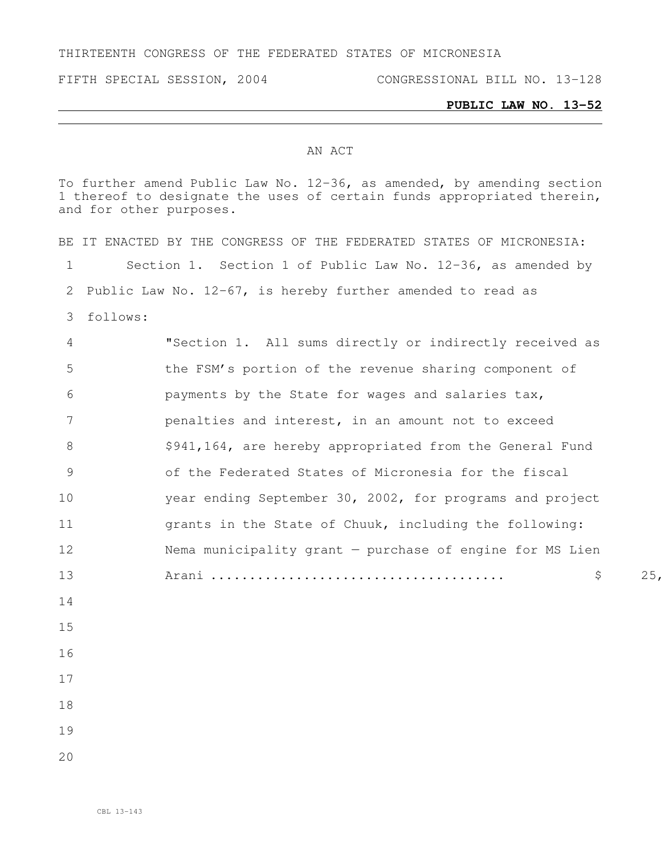THIRTEENTH CONGRESS OF THE FEDERATED STATES OF MICRONESIA

## **PUBLIC LAW NO. 13-52**

## AN ACT

To further amend Public Law No. 12-36, as amended, by amending section thereof to designate the uses of certain funds appropriated therein, and for other purposes.

|    | BE IT ENACTED BY THE CONGRESS OF THE FEDERATED STATES OF MICRONESIA: |
|----|----------------------------------------------------------------------|
| 1  | Section 1. Section 1 of Public Law No. 12-36, as amended by          |
| 2  | Public Law No. $12-67$ , is hereby further amended to read as        |
| 3  | follows:                                                             |
| 4  | "Section 1. All sums directly or indirectly received as              |
| 5  | the FSM's portion of the revenue sharing component of                |
| 6  | payments by the State for wages and salaries tax,                    |
| 7  | penalties and interest, in an amount not to exceed                   |
| 8  | \$941,164, are hereby appropriated from the General Fund             |
| 9  | of the Federated States of Micronesia for the fiscal                 |
| 10 | year ending September 30, 2002, for programs and project             |
| 11 | grants in the State of Chuuk, including the following:               |
| 12 | Nema municipality grant - purchase of engine for MS Lien             |
| 13 | 25<br>\$                                                             |
| 14 |                                                                      |
| 15 |                                                                      |
| 16 |                                                                      |
| 17 |                                                                      |
| 18 |                                                                      |
| 19 |                                                                      |
| 20 |                                                                      |